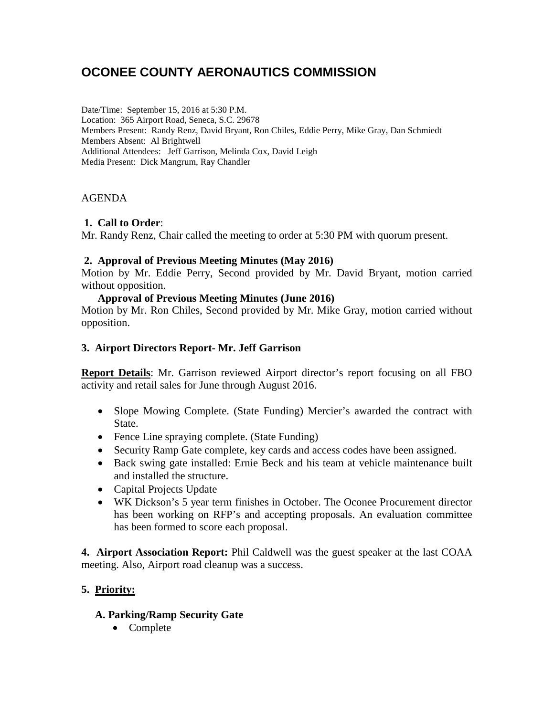# **OCONEE COUNTY AERONAUTICS COMMISSION**

Date/Time: September 15, 2016 at 5:30 P.M. Location: 365 Airport Road, Seneca, S.C. 29678 Members Present: Randy Renz, David Bryant, Ron Chiles, Eddie Perry, Mike Gray, Dan Schmiedt Members Absent: Al Brightwell Additional Attendees: Jeff Garrison, Melinda Cox, David Leigh Media Present: Dick Mangrum, Ray Chandler

## AGENDA

## **1. Call to Order**:

Mr. Randy Renz, Chair called the meeting to order at 5:30 PM with quorum present.

## **2. Approval of Previous Meeting Minutes (May 2016)**

Motion by Mr. Eddie Perry, Second provided by Mr. David Bryant, motion carried without opposition.

## **Approval of Previous Meeting Minutes (June 2016)**

Motion by Mr. Ron Chiles, Second provided by Mr. Mike Gray, motion carried without opposition.

# **3. Airport Directors Report- Mr. Jeff Garrison**

**Report Details**: Mr. Garrison reviewed Airport director's report focusing on all FBO activity and retail sales for June through August 2016.

- Slope Mowing Complete. (State Funding) Mercier's awarded the contract with State.
- Fence Line spraying complete. (State Funding)
- Security Ramp Gate complete, key cards and access codes have been assigned.
- Back swing gate installed: Ernie Beck and his team at vehicle maintenance built and installed the structure.
- Capital Projects Update
- WK Dickson's 5 year term finishes in October. The Oconee Procurement director has been working on RFP's and accepting proposals. An evaluation committee has been formed to score each proposal.

**4. Airport Association Report:** Phil Caldwell was the guest speaker at the last COAA meeting. Also, Airport road cleanup was a success.

# **5. Priority:**

# **A. Parking/Ramp Security Gate**

• Complete